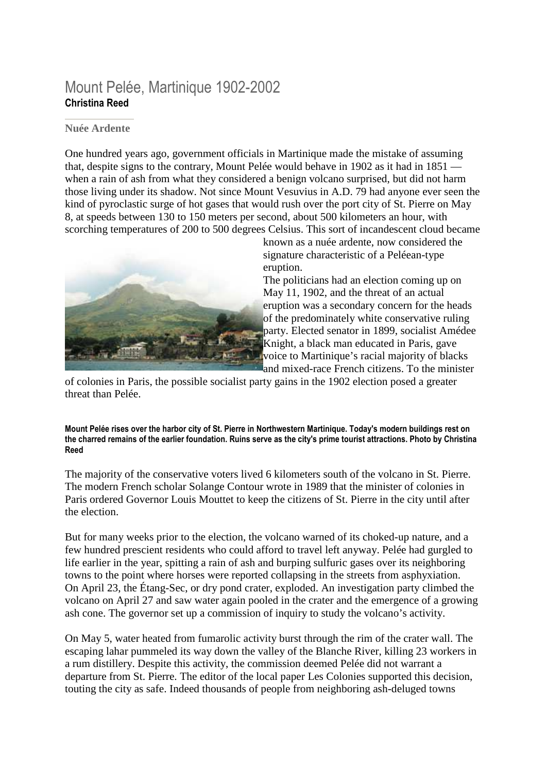## Mount Pelée, Martinique 1902-2002 **Christina Reed**

## **Nuée Ardente**

One hundred years ago, government officials in Martinique made the mistake of assuming that, despite signs to the contrary, Mount Pelée would behave in 1902 as it had in 1851 when a rain of ash from what they considered a benign volcano surprised, but did not harm those living under its shadow. Not since Mount Vesuvius in A.D. 79 had anyone ever seen the kind of pyroclastic surge of hot gases that would rush over the port city of St. Pierre on May 8, at speeds between 130 to 150 meters per second, about 500 kilometers an hour, with scorching temperatures of 200 to 500 degrees Celsius. This sort of incandescent cloud became



known as a nuée ardente, now considered the signature characteristic of a Peléean-type eruption.

The politicians had an election coming up on May 11, 1902, and the threat of an actual eruption was a secondary concern for the heads of the predominately white conservative ruling party. Elected senator in 1899, socialist Amédee Knight, a black man educated in Paris, gave voice to Martinique's racial majority of blacks and mixed-race French citizens. To the minister

of colonies in Paris, the possible socialist party gains in the 1902 election posed a greater threat than Pelée.

**Mount Pelée rises over the harbor city of St. Pierre in Northwestern Martinique. Today's modern buildings rest on the charred remains of the earlier foundation. Ruins serve as the city's prime tourist attractions. Photo by Christina Reed**

The majority of the conservative voters lived 6 kilometers south of the volcano in St. Pierre. The modern French scholar Solange Contour wrote in 1989 that the minister of colonies in Paris ordered Governor Louis Mouttet to keep the citizens of St. Pierre in the city until after the election.

But for many weeks prior to the election, the volcano warned of its choked-up nature, and a few hundred prescient residents who could afford to travel left anyway. Pelée had gurgled to life earlier in the year, spitting a rain of ash and burping sulfuric gases over its neighboring towns to the point where horses were reported collapsing in the streets from asphyxiation. On April 23, the Étang-Sec, or dry pond crater, exploded. An investigation party climbed the volcano on April 27 and saw water again pooled in the crater and the emergence of a growing ash cone. The governor set up a commission of inquiry to study the volcano's activity.

On May 5, water heated from fumarolic activity burst through the rim of the crater wall. The escaping lahar pummeled its way down the valley of the Blanche River, killing 23 workers in a rum distillery. Despite this activity, the commission deemed Pelée did not warrant a departure from St. Pierre. The editor of the local paper Les Colonies supported this decision, touting the city as safe. Indeed thousands of people from neighboring ash-deluged towns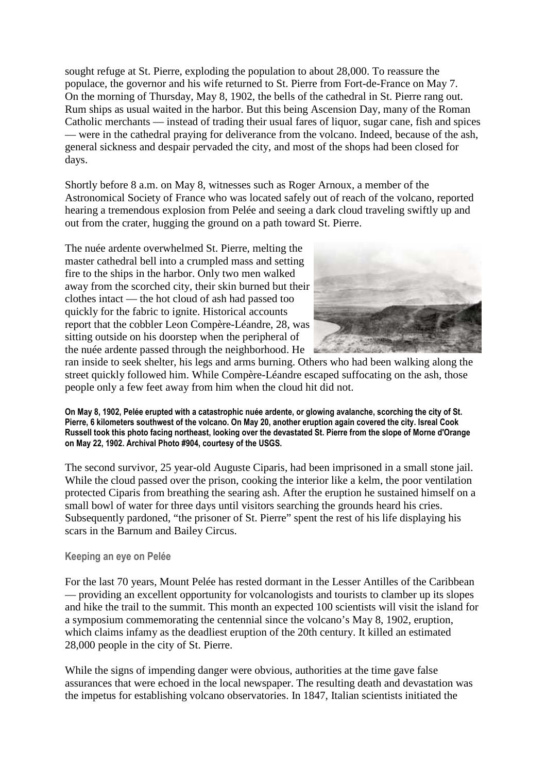sought refuge at St. Pierre, exploding the population to about 28,000. To reassure the populace, the governor and his wife returned to St. Pierre from Fort-de-France on May 7. On the morning of Thursday, May 8, 1902, the bells of the cathedral in St. Pierre rang out. Rum ships as usual waited in the harbor. But this being Ascension Day, many of the Roman Catholic merchants — instead of trading their usual fares of liquor, sugar cane, fish and spices — were in the cathedral praying for deliverance from the volcano. Indeed, because of the ash, general sickness and despair pervaded the city, and most of the shops had been closed for days.

Shortly before 8 a.m. on May 8, witnesses such as Roger Arnoux, a member of the Astronomical Society of France who was located safely out of reach of the volcano, reported hearing a tremendous explosion from Pelée and seeing a dark cloud traveling swiftly up and out from the crater, hugging the ground on a path toward St. Pierre.

The nuée ardente overwhelmed St. Pierre, melting the master cathedral bell into a crumpled mass and setting fire to the ships in the harbor. Only two men walked away from the scorched city, their skin burned but their clothes intact — the hot cloud of ash had passed too quickly for the fabric to ignite. Historical accounts report that the cobbler Leon Compère-Léandre, 28, was sitting outside on his doorstep when the peripheral of the nuée ardente passed through the neighborhood. He



ran inside to seek shelter, his legs and arms burning. Others who had been walking along the street quickly followed him. While Compère-Léandre escaped suffocating on the ash, those people only a few feet away from him when the cloud hit did not.

**On May 8, 1902, Pelée erupted with a catastrophic nuée ardente, or glowing avalanche, scorching the city of St. Pierre, 6 kilometers southwest of the volcano. On May 20, another eruption again covered the city. Isreal Cook Russell took this photo facing northeast, looking over the devastated St. Pierre from the slope of Morne d'Orange on May 22, 1902. Archival Photo #904, courtesy of the USGS.** 

The second survivor, 25 year-old Auguste Ciparis, had been imprisoned in a small stone jail. While the cloud passed over the prison, cooking the interior like a kelm, the poor ventilation protected Ciparis from breathing the searing ash. After the eruption he sustained himself on a small bowl of water for three days until visitors searching the grounds heard his cries. Subsequently pardoned, "the prisoner of St. Pierre" spent the rest of his life displaying his scars in the Barnum and Bailey Circus.

## **Keeping an eye on Pelée**

For the last 70 years, Mount Pelée has rested dormant in the Lesser Antilles of the Caribbean — providing an excellent opportunity for volcanologists and tourists to clamber up its slopes and hike the trail to the summit. This month an expected 100 scientists will visit the island for a symposium commemorating the centennial since the volcano's May 8, 1902, eruption, which claims infamy as the deadliest eruption of the 20th century. It killed an estimated 28,000 people in the city of St. Pierre.

While the signs of impending danger were obvious, authorities at the time gave false assurances that were echoed in the local newspaper. The resulting death and devastation was the impetus for establishing volcano observatories. In 1847, Italian scientists initiated the